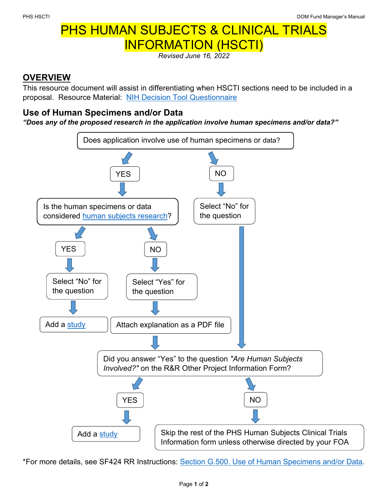## PHS HUMAN SUBJECTS & CLINICAL TRIALS INFORMATION (HSCTI)

*Revised June 16, 2022*

## **OVERVIEW**

This resource document will assist in differentiating when HSCTI sections need to be included in a proposal. Resource Material: [NIH Decision Tool Questionnaire](https://grants.nih.gov/policy/humansubjects/hs-decision.htm)

## **Use of Human Specimens and/or Data**

*"Does any of the proposed research in the application involve human specimens and/or data?"*



\*For more details, see SF424 RR Instructions: [Section G.500. Use of Human Specimens and/or Data.](https://grants.nih.gov/grants/how-to-apply-application-guide/forms-g/general/g.500-phs-human-subjects-and-clinical-trials-information.htm#UseOf)